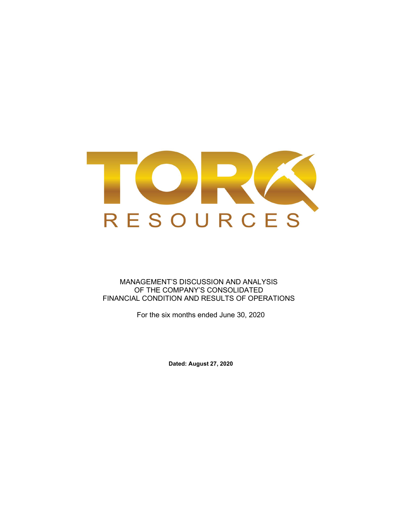

MANAGEMENT'S DISCUSSION AND ANALYSIS OF THE COMPANY'S CONSOLIDATED FINANCIAL CONDITION AND RESULTS OF OPERATIONS

For the six months ended June 30, 2020

Dated: August 27, 2020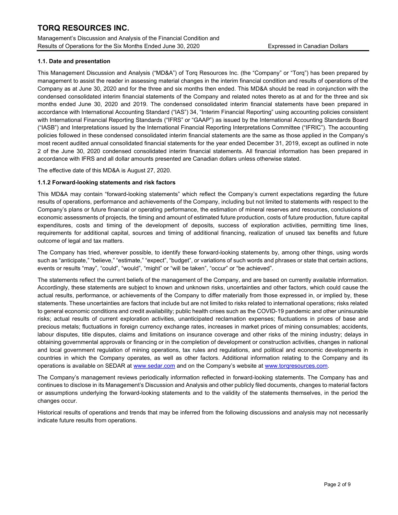Management's Discussion and Analysis of the Financial Condition and Results of Operations for the Six Months Ended June 30, 2020 Expressed in Canadian Dollars

### 1.1. Date and presentation

This Management Discussion and Analysis ("MD&A") of Torq Resources Inc. (the "Company" or "Torq") has been prepared by management to assist the reader in assessing material changes in the interim financial condition and results of operations of the Company as at June 30, 2020 and for the three and six months then ended. This MD&A should be read in conjunction with the condensed consolidated interim financial statements of the Company and related notes thereto as at and for the three and six months ended June 30, 2020 and 2019. The condensed consolidated interim financial statements have been prepared in accordance with International Accounting Standard ("IAS") 34, "Interim Financial Reporting" using accounting policies consistent with International Financial Reporting Standards ("IFRS" or "GAAP") as issued by the International Accounting Standards Board ("IASB") and Interpretations issued by the International Financial Reporting Interpretations Committee ("IFRIC"). The accounting policies followed in these condensed consolidated interim financial statements are the same as those applied in the Company's most recent audited annual consolidated financial statements for the year ended December 31, 2019, except as outlined in note 2 of the June 30, 2020 condensed consolidated interim financial statements. All financial information has been prepared in accordance with IFRS and all dollar amounts presented are Canadian dollars unless otherwise stated.

The effective date of this MD&A is August 27, 2020.

## 1.1.2 Forward-looking statements and risk factors

This MD&A may contain "forward-looking statements" which reflect the Company's current expectations regarding the future results of operations, performance and achievements of the Company, including but not limited to statements with respect to the Company's plans or future financial or operating performance, the estimation of mineral reserves and resources, conclusions of economic assessments of projects, the timing and amount of estimated future production, costs of future production, future capital expenditures, costs and timing of the development of deposits, success of exploration activities, permitting time lines, requirements for additional capital, sources and timing of additional financing, realization of unused tax benefits and future outcome of legal and tax matters.

The Company has tried, wherever possible, to identify these forward-looking statements by, among other things, using words such as "anticipate," "believe," "estimate," "expect", "budget", or variations of such words and phrases or state that certain actions, events or results "may", "could", "would", "might" or "will be taken", "occur" or "be achieved".

The statements reflect the current beliefs of the management of the Company, and are based on currently available information. Accordingly, these statements are subject to known and unknown risks, uncertainties and other factors, which could cause the actual results, performance, or achievements of the Company to differ materially from those expressed in, or implied by, these statements. These uncertainties are factors that include but are not limited to risks related to international operations; risks related to general economic conditions and credit availability; public health crises such as the COVID-19 pandemic and other uninsurable risks; actual results of current exploration activities, unanticipated reclamation expenses; fluctuations in prices of base and precious metals; fluctuations in foreign currency exchange rates, increases in market prices of mining consumables; accidents, labour disputes, title disputes, claims and limitations on insurance coverage and other risks of the mining industry; delays in obtaining governmental approvals or financing or in the completion of development or construction activities, changes in national and local government regulation of mining operations, tax rules and regulations, and political and economic developments in countries in which the Company operates, as well as other factors. Additional information relating to the Company and its operations is available on SEDAR at www.sedar.com and on the Company's website at www.torqresources.com.

The Company's management reviews periodically information reflected in forward-looking statements. The Company has and continues to disclose in its Management's Discussion and Analysis and other publicly filed documents, changes to material factors or assumptions underlying the forward-looking statements and to the validity of the statements themselves, in the period the changes occur.

Historical results of operations and trends that may be inferred from the following discussions and analysis may not necessarily indicate future results from operations.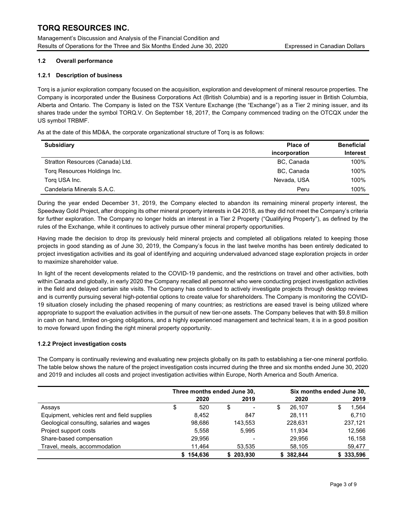Management's Discussion and Analysis of the Financial Condition and Results of Operations for the Three and Six Months Ended June 30, 2020 Expressed in Canadian Dollars

## 1.2 Overall performance

## 1.2.1 Description of business

Torq is a junior exploration company focused on the acquisition, exploration and development of mineral resource properties. The Company is incorporated under the Business Corporations Act (British Columbia) and is a reporting issuer in British Columbia, Alberta and Ontario. The Company is listed on the TSX Venture Exchange (the "Exchange") as a Tier 2 mining issuer, and its shares trade under the symbol TORQ.V. On September 18, 2017, the Company commenced trading on the OTCQX under the US symbol TRBMF.

As at the date of this MD&A, the corporate organizational structure of Torq is as follows:

| <b>Subsidiary</b>                | <b>Place of</b><br>incorporation | <b>Beneficial</b><br><b>Interest</b> |
|----------------------------------|----------------------------------|--------------------------------------|
| Stratton Resources (Canada) Ltd. | BC, Canada                       | 100%                                 |
| Torg Resources Holdings Inc.     | BC, Canada                       | 100%                                 |
| Torg USA Inc.                    | Nevada, USA                      | 100%                                 |
| Candelaria Minerals S.A.C.       | Peru                             | 100%                                 |

During the year ended December 31, 2019, the Company elected to abandon its remaining mineral property interest, the Speedway Gold Project, after dropping its other mineral property interests in Q4 2018, as they did not meet the Company's criteria for further exploration. The Company no longer holds an interest in a Tier 2 Property ("Qualifying Property"), as defined by the rules of the Exchange, while it continues to actively pursue other mineral property opportunities.

Having made the decision to drop its previously held mineral projects and completed all obligations related to keeping those projects in good standing as of June 30, 2019, the Company's focus in the last twelve months has been entirely dedicated to project investigation activities and its goal of identifying and acquiring undervalued advanced stage exploration projects in order to maximize shareholder value.

In light of the recent developments related to the COVID-19 pandemic, and the restrictions on travel and other activities, both within Canada and globally, in early 2020 the Company recalled all personnel who were conducting project investigation activities in the field and delayed certain site visits. The Company has continued to actively investigate projects through desktop reviews and is currently pursuing several high-potential options to create value for shareholders. The Company is monitoring the COVID-19 situation closely including the phased reopening of many countries; as restrictions are eased travel is being utilized where appropriate to support the evaluation activities in the pursuit of new tier-one assets. The Company believes that with \$9.8 million in cash on hand, limited on-going obligations, and a highly experienced management and technical team, it is in a good position to move forward upon finding the right mineral property opportunity.

## 1.2.2 Project investigation costs

The Company is continually reviewing and evaluating new projects globally on its path to establishing a tier-one mineral portfolio. The table below shows the nature of the project investigation costs incurred during the three and six months ended June 30, 2020 and 2019 and includes all costs and project investigation activities within Europe, North America and South America.

|                                             | Three months ended June 30, |           |   |                          | Six months ended June 30, |           |    |           |
|---------------------------------------------|-----------------------------|-----------|---|--------------------------|---------------------------|-----------|----|-----------|
|                                             |                             | 2020      |   | 2019                     |                           | 2020      |    | 2019      |
| Assays                                      | S                           | 520       | S | $\overline{\phantom{a}}$ | \$                        | 26.107    | \$ | 1,564     |
| Equipment, vehicles rent and field supplies |                             | 8.452     |   | 847                      |                           | 28.111    |    | 6,710     |
| Geological consulting, salaries and wages   |                             | 98,686    |   | 143.553                  |                           | 228,631   |    | 237,121   |
| Project support costs                       |                             | 5.558     |   | 5.995                    |                           | 11.934    |    | 12,566    |
| Share-based compensation                    |                             | 29.956    |   | $\overline{\phantom{0}}$ |                           | 29.956    |    | 16,158    |
| Travel, meals, accommodation                |                             | 11.464    |   | 53.535                   |                           | 58,105    |    | 59,477    |
|                                             |                             | \$154.636 |   | \$203.930                |                           | \$382.844 |    | \$333.596 |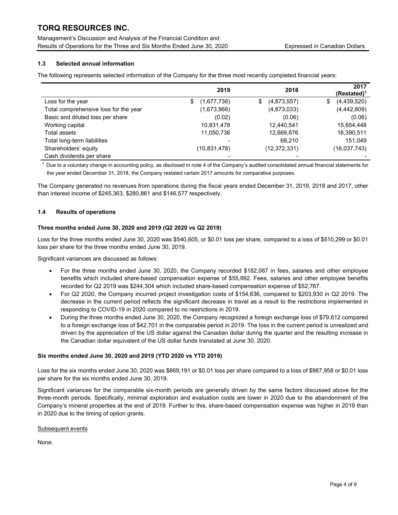Management's Discussion and Analysis of the Financial Condition and Results of Operations for the Three and Six Months Ended June 30, 2020 Expressed in Canadian Dollars

## 1.3 Selected annual information

The following represents selected information of the Company for the three most recently completed financial years:

|                                       | 2019              | 2018              | 2017<br>$(Restated)^1$ |
|---------------------------------------|-------------------|-------------------|------------------------|
| Loss for the year                     | (1,677,736)<br>\$ | (4,873,557)<br>\$ | (4,439,520)<br>\$      |
| Total comprehensive loss for the year | (1,673,966)       | (4,873,033)       | (4,442,809)            |
| Basic and diluted loss per share      | (0.02)            | (0.06)            | (0.06)                 |
| Working capital                       | 10,831,478        | 12,440,541        | 15,654,448             |
| Total assets                          | 11,050,736        | 12,669,876        | 16,390,511             |
| Total long-term liabilities           |                   | 68,210            | 151,049                |
| Shareholders' equity                  | (10, 831, 478)    | (12, 372, 331)    | (16,037,743)           |
| Cash dividends per share              |                   |                   |                        |

 $1$  Due to a voluntary change in accounting policy, as disclosed in note 4 of the Company's audited consolidated annual financial statements for the year ended December 31, 2018, the Company restated certain 2017 amounts for comparative purposes.

The Company generated no revenues from operations during the fiscal years ended December 31, 2019, 2018 and 2017, other than interest income of \$245,363, \$280,861 and \$146,577 respectively.

#### 1.4 Results of operations

#### Three months ended June 30, 2020 and 2019 (Q2 2020 vs Q2 2019)

Loss for the three months ended June 30, 2020 was \$540,605, or \$0.01 loss per share, compared to a loss of \$510,299 or \$0.01 loss per share for the three months ended June 30, 2019.

Significant variances are discussed as follows:

- For the three months ended June 30, 2020, the Company recorded \$182,067 in fees, salaries and other employee benefits which included share-based compensation expense of \$55,992. Fees, salaries and other employee benefits recorded for Q2 2019 was \$244,304 which included share-based compensation expense of \$52,767.
- For Q2 2020, the Company incurred project investigation costs of \$154,636, compared to \$203,930 in Q2 2019. The decrease in the current period reflects the significant decrease in travel as a result to the restrictions implemented in responding to COVID-19 in 2020 compared to no restrictions in 2019.
- During the three months ended June 30, 2020, the Company recognized a foreign exchange loss of \$79,612 compared to a foreign exchange loss of \$42,701 in the comparable period in 2019. The loss in the current period is unrealized and driven by the appreciation of the US dollar against the Canadian dollar during the quarter and the resulting increase in the Canadian dollar equivalent of the US dollar funds translated at June 30, 2020.

#### Six months ended June 30, 2020 and 2019 (YTD 2020 vs YTD 2019)

Loss for the six months ended June 30, 2020 was \$869,191 or \$0.01 loss per share compared to a loss of \$987,958 or \$0.01 loss per share for the six months ended June 30, 2019.

Significant variances for the comparable six-month periods are generally driven by the same factors discussed above for the three-month periods. Specifically, minimal exploration and evaluation costs are lower in 2020 due to the abandonment of the Company's mineral properties at the end of 2019. Further to this, share-based compensation expense was higher in 2019 than in 2020 due to the timing of option grants.

#### Subsequent events

None.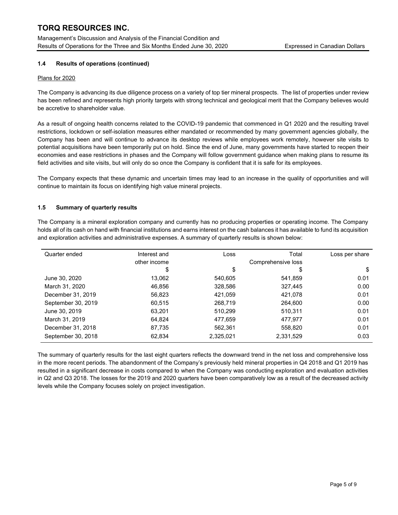Management's Discussion and Analysis of the Financial Condition and Results of Operations for the Three and Six Months Ended June 30, 2020 Expressed in Canadian Dollars

## 1.4 Results of operations (continued)

#### Plans for 2020

The Company is advancing its due diligence process on a variety of top tier mineral prospects. The list of properties under review has been refined and represents high priority targets with strong technical and geological merit that the Company believes would be accretive to shareholder value.

As a result of ongoing health concerns related to the COVID-19 pandemic that commenced in Q1 2020 and the resulting travel restrictions, lockdown or self-isolation measures either mandated or recommended by many government agencies globally, the Company has been and will continue to advance its desktop reviews while employees work remotely, however site visits to potential acquisitions have been temporarily put on hold. Since the end of June, many governments have started to reopen their economies and ease restrictions in phases and the Company will follow government guidance when making plans to resume its field activities and site visits, but will only do so once the Company is confident that it is safe for its employees.

The Company expects that these dynamic and uncertain times may lead to an increase in the quality of opportunities and will continue to maintain its focus on identifying high value mineral projects.

#### 1.5 Summary of quarterly results

The Company is a mineral exploration company and currently has no producing properties or operating income. The Company holds all of its cash on hand with financial institutions and earns interest on the cash balances it has available to fund its acquisition and exploration activities and administrative expenses. A summary of quarterly results is shown below:

| Quarter ended      | Interest and | Loss      | Total     | Loss per share |
|--------------------|--------------|-----------|-----------|----------------|
|                    | other income |           |           |                |
|                    | \$           | \$        | \$        | \$             |
| June 30, 2020      | 13,062       | 540,605   | 541.859   | 0.01           |
| March 31, 2020     | 46.856       | 328,586   | 327,445   | 0.00           |
| December 31, 2019  | 56,823       | 421,059   | 421,078   | 0.01           |
| September 30, 2019 | 60,515       | 268,719   | 264,600   | 0.00           |
| June 30, 2019      | 63.201       | 510,299   | 510,311   | 0.01           |
| March 31, 2019     | 64.824       | 477,659   | 477.977   | 0.01           |
| December 31, 2018  | 87,735       | 562,361   | 558,820   | 0.01           |
| September 30, 2018 | 62,834       | 2,325,021 | 2,331,529 | 0.03           |

The summary of quarterly results for the last eight quarters reflects the downward trend in the net loss and comprehensive loss in the more recent periods. The abandonment of the Company's previously held mineral properties in Q4 2018 and Q1 2019 has resulted in a significant decrease in costs compared to when the Company was conducting exploration and evaluation activities in Q2 and Q3 2018. The losses for the 2019 and 2020 quarters have been comparatively low as a result of the decreased activity levels while the Company focuses solely on project investigation.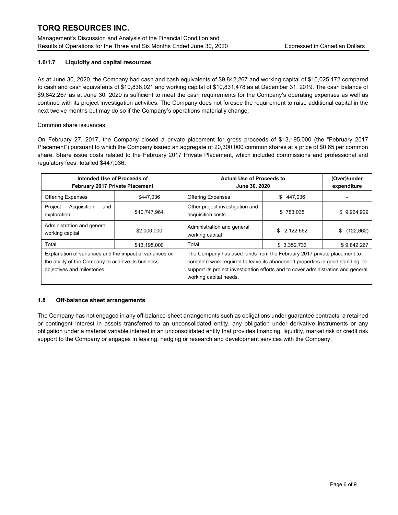Management's Discussion and Analysis of the Financial Condition and Results of Operations for the Three and Six Months Ended June 30, 2020 Expressed in Canadian Dollars

## 1.6/1.7 Liquidity and capital resources

As at June 30, 2020, the Company had cash and cash equivalents of \$9,842,267 and working capital of \$10,025,172 compared to cash and cash equivalents of \$10,838,021 and working capital of \$10,831,478 as at December 31, 2019. The cash balance of \$9,842,267 as at June 30, 2020 is sufficient to meet the cash requirements for the Company's operating expenses as well as continue with its project investigation activities. The Company does not foresee the requirement to raise additional capital in the next twelve months but may do so if the Company's operations materially change.

## Common share issuances

On February 27, 2017, the Company closed a private placement for gross proceeds of \$13,195,000 (the "February 2017 Placement") pursuant to which the Company issued an aggregate of 20,300,000 common shares at a price of \$0.65 per common share. Share issue costs related to the February 2017 Private Placement, which included commissions and professional and regulatory fees, totalled \$447,036.

| Intended Use of Proceeds of<br>February 2017 Private Placement                                                                             |              | <b>Actual Use of Proceeds to</b><br>June 30, 2020                                                                                                                                                                                                                      |             | (Over)/under<br>expenditure |
|--------------------------------------------------------------------------------------------------------------------------------------------|--------------|------------------------------------------------------------------------------------------------------------------------------------------------------------------------------------------------------------------------------------------------------------------------|-------------|-----------------------------|
| <b>Offering Expenses</b>                                                                                                                   | \$447.036    | <b>Offering Expenses</b>                                                                                                                                                                                                                                               | \$447.036   |                             |
| Project<br>Acquisition<br>and<br>exploration                                                                                               | \$10,747,964 | Other project investigation and<br>acquisition costs                                                                                                                                                                                                                   | \$783.035   | \$9,964,929                 |
| Administration and general<br>working capital                                                                                              | \$2,000,000  | Administration and general<br>working capital                                                                                                                                                                                                                          | \$2,122,662 | \$(122,662)                 |
| Total                                                                                                                                      | \$13,195,000 | Total                                                                                                                                                                                                                                                                  | \$3,352,733 | \$9,842,267                 |
| Explanation of variances and the impact of variances on<br>the ability of the Company to achieve its business<br>objectives and milestones |              | The Company has used funds from the February 2017 private placement to<br>complete work required to leave its abandoned properties in good standing, to<br>support its project investigation efforts and to cover administration and general<br>working capital needs. |             |                             |

#### 1.8 Off-balance sheet arrangements

The Company has not engaged in any off-balance-sheet arrangements such as obligations under guarantee contracts, a retained or contingent interest in assets transferred to an unconsolidated entity, any obligation under derivative instruments or any obligation under a material variable interest in an unconsolidated entity that provides financing, liquidity, market risk or credit risk support to the Company or engages in leasing, hedging or research and development services with the Company.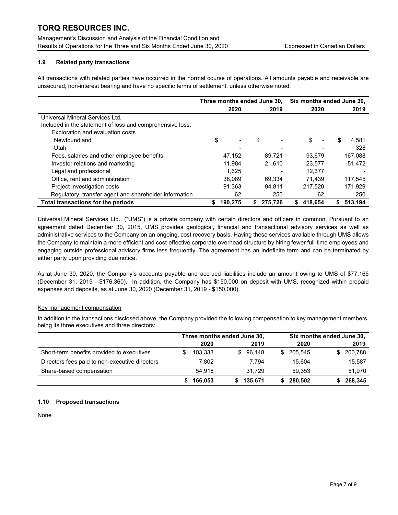Management's Discussion and Analysis of the Financial Condition and Results of Operations for the Three and Six Months Ended June 30, 2020 Expressed in Canadian Dollars

## 1.9 Related party transactions

All transactions with related parties have occurred in the normal course of operations. All amounts payable and receivable are unsecured, non-interest bearing and have no specific terms of settlement, unless otherwise noted.

|                                                           | Three months ended June 30, |         |    | Six months ended June 30, |               |                |               |
|-----------------------------------------------------------|-----------------------------|---------|----|---------------------------|---------------|----------------|---------------|
|                                                           |                             | 2020    |    | 2019                      | 2020          |                | 2019          |
| Universal Mineral Services Ltd.                           |                             |         |    |                           |               |                |               |
| Included in the statement of loss and comprehensive loss: |                             |         |    |                           |               |                |               |
| Exploration and evaluation costs                          |                             |         |    |                           |               |                |               |
| Newfoundland                                              | \$                          |         | S  |                           | \$            | $\blacksquare$ | \$<br>4.581   |
| Utah                                                      |                             |         |    |                           |               |                | 328           |
| Fees, salaries and other employee benefits                |                             | 47,152  |    | 89.721                    | 93,679        |                | 167,088       |
| Investor relations and marketing                          |                             | 11.984  |    | 21.610                    | 23,577        |                | 51,472        |
| Legal and professional                                    |                             | 1.625   |    |                           | 12.377        |                |               |
| Office, rent and administration                           |                             | 38,089  |    | 69.334                    | 71.439        |                | 117.545       |
| Project investigation costs                               |                             | 91.363  |    | 94.811                    | 217.520       |                | 171.929       |
| Regulatory, transfer agent and shareholder information    |                             | 62      |    | 250                       |               | 62             | 250           |
| Total transactions for the periods                        | S                           | 190.275 | S. | 275.726                   | 418.654<br>\$ |                | 513.194<br>S. |

Universal Mineral Services Ltd., ("UMS") is a private company with certain directors and officers in common. Pursuant to an agreement dated December 30, 2015, UMS provides geological, financial and transactional advisory services as well as administrative services to the Company on an ongoing, cost recovery basis. Having these services available through UMS allows the Company to maintain a more efficient and cost-effective corporate overhead structure by hiring fewer full-time employees and engaging outside professional advisory firms less frequently. The agreement has an indefinite term and can be terminated by either party upon providing due notice.

As at June 30, 2020, the Company's accounts payable and accrued liabilities include an amount owing to UMS of \$77,165 (December 31, 2019 - \$176,360). In addition, the Company has \$150,000 on deposit with UMS, recognized within prepaid expenses and deposits, as at June 30, 2020 (December 31, 2019 - \$150,000).

#### Key management compensation

In addition to the transactions disclosed above, the Company provided the following compensation to key management members, being its three executives and three directors:

|                                                | Three months ended June 30, |              | Six months ended June 30, |           |  |  |
|------------------------------------------------|-----------------------------|--------------|---------------------------|-----------|--|--|
|                                                | 2020                        | 2019         | 2020                      | 2019      |  |  |
| Short-term benefits provided to executives     | 103.333                     | 96.148<br>S. | 205.545<br>£.             | \$200,788 |  |  |
| Directors fees paid to non-executive directors | 7,802                       | 7.794        | 15.604                    | 15,587    |  |  |
| Share-based compensation                       | 54.918                      | 31.729       | 59.353                    | 51,970    |  |  |
|                                                | 166,053                     | 135.671      | 280,502                   | 268,345   |  |  |

#### 1.10 Proposed transactions

None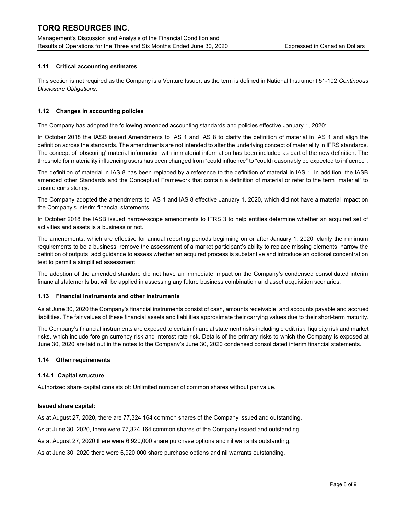Management's Discussion and Analysis of the Financial Condition and Results of Operations for the Three and Six Months Ended June 30, 2020 Expressed in Canadian Dollars

## 1.11 Critical accounting estimates

This section is not required as the Company is a Venture Issuer, as the term is defined in National Instrument 51-102 Continuous Disclosure Obligations.

## 1.12 Changes in accounting policies

The Company has adopted the following amended accounting standards and policies effective January 1, 2020:

In October 2018 the IASB issued Amendments to IAS 1 and IAS 8 to clarify the definition of material in IAS 1 and align the definition across the standards. The amendments are not intended to alter the underlying concept of materiality in IFRS standards. The concept of 'obscuring' material information with immaterial information has been included as part of the new definition. The threshold for materiality influencing users has been changed from "could influence" to "could reasonably be expected to influence".

The definition of material in IAS 8 has been replaced by a reference to the definition of material in IAS 1. In addition, the IASB amended other Standards and the Conceptual Framework that contain a definition of material or refer to the term "material" to ensure consistency.

The Company adopted the amendments to IAS 1 and IAS 8 effective January 1, 2020, which did not have a material impact on the Company's interim financial statements.

In October 2018 the IASB issued narrow-scope amendments to IFRS 3 to help entities determine whether an acquired set of activities and assets is a business or not.

The amendments, which are effective for annual reporting periods beginning on or after January 1, 2020, clarify the minimum requirements to be a business, remove the assessment of a market participant's ability to replace missing elements, narrow the definition of outputs, add guidance to assess whether an acquired process is substantive and introduce an optional concentration test to permit a simplified assessment.

The adoption of the amended standard did not have an immediate impact on the Company's condensed consolidated interim financial statements but will be applied in assessing any future business combination and asset acquisition scenarios.

#### 1.13 Financial instruments and other instruments

As at June 30, 2020 the Company's financial instruments consist of cash, amounts receivable, and accounts payable and accrued liabilities. The fair values of these financial assets and liabilities approximate their carrying values due to their short-term maturity.

The Company's financial instruments are exposed to certain financial statement risks including credit risk, liquidity risk and market risks, which include foreign currency risk and interest rate risk. Details of the primary risks to which the Company is exposed at June 30, 2020 are laid out in the notes to the Company's June 30, 2020 condensed consolidated interim financial statements.

#### 1.14 Other requirements

#### 1.14.1 Capital structure

Authorized share capital consists of: Unlimited number of common shares without par value.

#### Issued share capital:

As at August 27, 2020, there are 77,324,164 common shares of the Company issued and outstanding.

As at June 30, 2020, there were 77,324,164 common shares of the Company issued and outstanding.

As at August 27, 2020 there were 6,920,000 share purchase options and nil warrants outstanding.

As at June 30, 2020 there were 6,920,000 share purchase options and nil warrants outstanding.